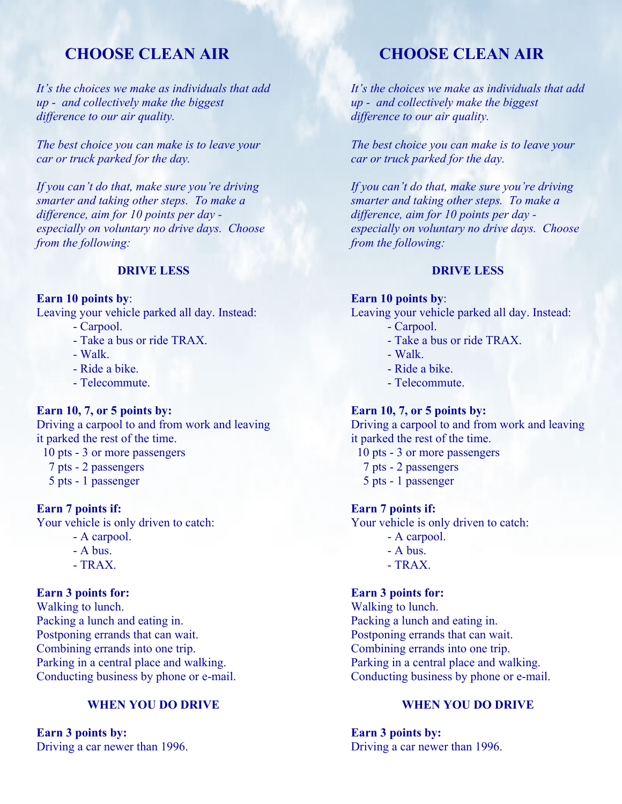# **CHOOSE CLEAN AIR**

*It's the choices we make as individuals that add up - and collectively make the biggest difference to our air quality.* 

*The best choice you can make is to leave your car or truck parked for the day.* 

*If you can't do that, make sure you're driving smarter and taking other steps. To make a difference, aim for 10 points per day especially on voluntary no drive days. Choose from the following:* 

## **DRIVE LESS**

#### **Earn 10 points by**:

Leaving your vehicle parked all day. Instead:

- Carpool.
- Take a bus or ride TRAX.
- Walk.
- Ride a bike.
- Telecommute.

## **Earn 10, 7, or 5 points by:**

Driving a carpool to and from work and leaving it parked the rest of the time.

10 pts - 3 or more passengers

- 7 pts 2 passengers
- 5 pts 1 passenger

## **Earn 7 points if:**

Your vehicle is only driven to catch:

- A carpool.
- A bus.
- $-TRAX$

#### **Earn 3 points for:**

Walking to lunch. Packing a lunch and eating in. Postponing errands that can wait. Combining errands into one trip. Parking in a central place and walking. Conducting business by phone or e-mail.

# **WHEN YOU DO DRIVE**

**Earn 3 points by:**  Driving a car newer than 1996.

# **CHOOSE CLEAN AIR**

*It's the choices we make as individuals that add up - and collectively make the biggest difference to our air quality.* 

*The best choice you can make is to leave your car or truck parked for the day.* 

*If you can't do that, make sure you're driving smarter and taking other steps. To make a difference, aim for 10 points per day especially on voluntary no drive days. Choose from the following:* 

## **DRIVE LESS**

**Earn 10 points by**: Leaving your vehicle parked all day. Instead: - Carpool.

- Take a bus or ride TRAX.
- Walk.
- Ride a bike.
- Telecommute.

#### **Earn 10, 7, or 5 points by:**

Driving a carpool to and from work and leaving it parked the rest of the time.

- 10 pts 3 or more passengers
- 7 pts 2 passengers
- 5 pts 1 passenger

#### **Earn 7 points if:**

Your vehicle is only driven to catch:

- A carpool.
- A bus.
- $-TRAX$

### **Earn 3 points for:**

Walking to lunch. Packing a lunch and eating in. Postponing errands that can wait. Combining errands into one trip. Parking in a central place and walking. Conducting business by phone or e-mail.

# **WHEN YOU DO DRIVE**

**Earn 3 points by:**  Driving a car newer than 1996.